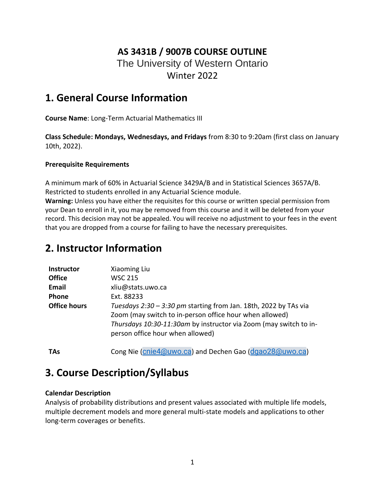## **AS 3431B / 9007B COURSE OUTLINE** The University of Western Ontario Winter 2022

## **1. General Course Information**

**Course Name**: Long-Term Actuarial Mathematics III

**Class Schedule: Mondays, Wednesdays, and Fridays** from 8:30 to 9:20am (first class on January 10th, 2022).

#### **Prerequisite Requirements**

A minimum mark of 60% in Actuarial Science 3429A/B and in Statistical Sciences 3657A/B. Restricted to students enrolled in any Actuarial Science module.

**Warning:** Unless you have either the requisites for this course or written special permission from your Dean to enroll in it, you may be removed from this course and it will be deleted from your record. This decision may not be appealed. You will receive no adjustment to your fees in the event that you are dropped from a course for failing to have the necessary prerequisites.

# **2. Instructor Information**

| <b>Instructor</b>   | Xiaoming Liu                                                                                                                                                                                                                         |
|---------------------|--------------------------------------------------------------------------------------------------------------------------------------------------------------------------------------------------------------------------------------|
| <b>Office</b>       | <b>WSC 215</b>                                                                                                                                                                                                                       |
| Email               | xliu@stats.uwo.ca                                                                                                                                                                                                                    |
| <b>Phone</b>        | Ext. 88233                                                                                                                                                                                                                           |
| <b>Office hours</b> | Tuesdays 2:30 - 3:30 pm starting from Jan. 18th, 2022 by TAs via<br>Zoom (may switch to in-person office hour when allowed)<br>Thursdays 10:30-11:30am by instructor via Zoom (may switch to in-<br>person office hour when allowed) |

**TAs** Cong Nie (*[cnie4@uwo.ca](mailto:cnie4@uwo.ca)*) and Dechen Gao (*[dgao28@uwo.ca](mailto:dgao28@uwo.ca)*)

# **3. Course Description/Syllabus**

#### **Calendar Description**

Analysis of probability distributions and present values associated with multiple life models, multiple decrement models and more general multi-state models and applications to other long-term coverages or benefits.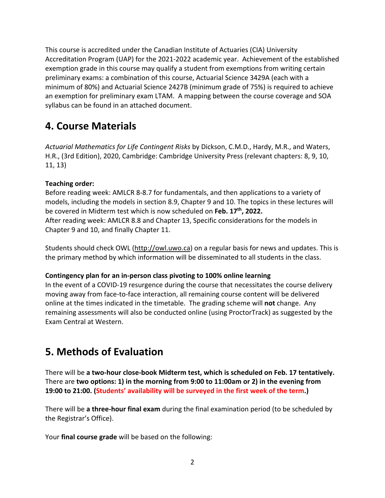This course is accredited under the Canadian Institute of Actuaries (CIA) University Accreditation Program (UAP) for the 2021-2022 academic year. Achievement of the established exemption grade in this course may qualify a student from exemptions from writing certain preliminary exams: a combination of this course, Actuarial Science 3429A (each with a minimum of 80%) and Actuarial Science 2427B (minimum grade of 75%) is required to achieve an exemption for preliminary exam LTAM. A mapping between the course coverage and SOA syllabus can be found in an attached document.

# **4. Course Materials**

*Actuarial Mathematics for Life Contingent Risks* by Dickson, C.M.D., Hardy, M.R., and Waters, H.R., (3rd Edition), 2020, Cambridge: Cambridge University Press (relevant chapters: 8, 9, 10, 11, 13)

#### **Teaching order:**

Before reading week: AMLCR 8-8.7 for fundamentals, and then applications to a variety of models, including the models in section 8.9, Chapter 9 and 10. The topics in these lectures will be covered in Midterm test which is now scheduled on **Feb. 17th, 2022.** After reading week: AMLCR 8.8 and Chapter 13, Specific considerations for the models in Chapter 9 and 10, and finally Chapter 11.

Students should check OWL [\(http://owl.uwo.ca\)](http://owl.uwo.ca/) on a regular basis for news and updates. This is the primary method by which information will be disseminated to all students in the class.

#### **Contingency plan for an in-person class pivoting to 100% online learning**

In the event of a COVID-19 resurgence during the course that necessitates the course delivery moving away from face-to-face interaction, all remaining course content will be delivered online at the times indicated in the timetable. The grading scheme will **not** change. Any remaining assessments will also be conducted online (using ProctorTrack) as suggested by the Exam Central at Western.

# **5. Methods of Evaluation**

There will be **a two-hour close-book Midterm test, which is scheduled on Feb. 17 tentatively.**  There are **two options: 1) in the morning from 9:00 to 11:00am or 2) in the evening from 19:00 to 21:00. (Students' availability will be surveyed in the first week of the term.)**

There will be **a three-hour final exam** during the final examination period (to be scheduled by the Registrar's Office).

Your **final course grade** will be based on the following: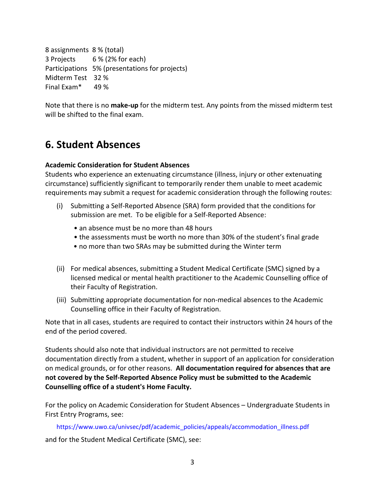8 assignments 8 % (total) 3 Projects 6 % (2% for each) Participations 5% (presentations for projects) Midterm Test 32 % Final Exam\* 49 %

Note that there is no **make-up** for the midterm test. Any points from the missed midterm test will be shifted to the final exam.

# **6. Student Absences**

#### **Academic Consideration for Student Absences**

Students who experience an extenuating circumstance (illness, injury or other extenuating circumstance) sufficiently significant to temporarily render them unable to meet academic requirements may submit a request for academic consideration through the following routes:

- (i) Submitting a Self-Reported Absence (SRA) form provided that the conditions for submission are met. To be eligible for a Self-Reported Absence:
	- an absence must be no more than 48 hours
	- the assessments must be worth no more than 30% of the student's final grade
	- no more than two SRAs may be submitted during the Winter term
- (ii) For medical absences, submitting a Student Medical Certificate (SMC) signed by a licensed medical or mental health practitioner to the Academic Counselling office of their Faculty of Registration.
- (iii) Submitting appropriate documentation for non-medical absences to the Academic Counselling office in their Faculty of Registration.

Note that in all cases, students are required to contact their instructors within 24 hours of the end of the period covered.

Students should also note that individual instructors are not permitted to receive documentation directly from a student, whether in support of an application for consideration on medical grounds, or for other reasons. **All documentation required for absences that are not covered by the Self-Reported Absence Policy must be submitted to the Academic Counselling office of a student's Home Faculty.**

For the policy on Academic Consideration for Student Absences – Undergraduate Students in First Entry Programs, see:

https://www.uwo.ca/univsec/pdf/academic\_policies/appeals/accommodation\_illness.pdf and for the Student Medical Certificate (SMC), see: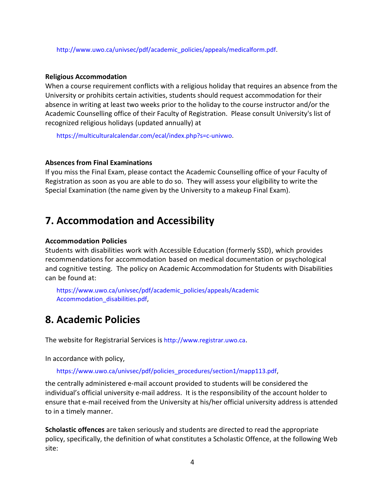http://www.uwo.ca/univsec/pdf/academic\_policies/appeals/medicalform.pdf.

#### **Religious Accommodation**

When a course requirement conflicts with a religious holiday that requires an absence from the University or prohibits certain activities, students should request accommodation for their absence in writing at least two weeks prior to the holiday to the course instructor and/or the Academic Counselling office of their Faculty of Registration. Please consult University's list of recognized religious holidays (updated annually) at

https://multiculturalcalendar.com/ecal/index.php?s=c-univwo.

#### **Absences from Final Examinations**

If you miss the Final Exam, please contact the Academic Counselling office of your Faculty of Registration as soon as you are able to do so. They will assess your eligibility to write the Special Examination (the name given by the University to a makeup Final Exam).

### **7. Accommodation and Accessibility**

#### **Accommodation Policies**

Students with disabilities work with Accessible Education (formerly SSD), which provides recommendations for accommodation based on medical documentation or psychological and cognitive testing. The policy on Academic Accommodation for Students with Disabilities can be found at:

https://www.uwo.ca/univsec/pdf/academic\_policies/appeals/Academic Accommodation\_disabilities.pdf,

### **8. Academic Policies**

The website for Registrarial Services is http://www.registrar.uwo.ca.

In accordance with policy,

https://www.uwo.ca/univsec/pdf/policies\_procedures/section1/mapp113.pdf,

the centrally administered e-mail account provided to students will be considered the individual's official university e-mail address. It is the responsibility of the account holder to ensure that e-mail received from the University at his/her official university address is attended to in a timely manner.

**Scholastic offences** are taken seriously and students are directed to read the appropriate policy, specifically, the definition of what constitutes a Scholastic Offence, at the following Web site: